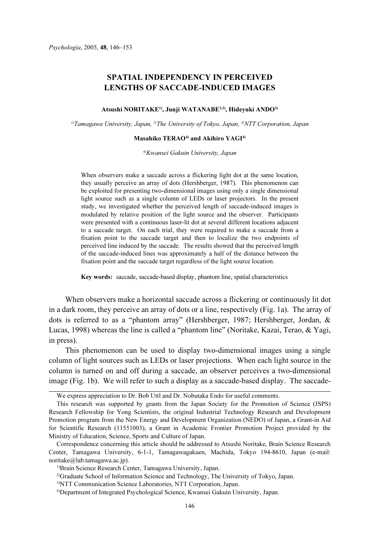# SPATIAL INDEPENDENCY IN PERCEIVED LENGTHS OF SACCADE-INDUCED IMAGES

### Atsushi NORITAKE<sup>1</sup>, Junji WATANABE<sup>2,3</sup>, Hideyuki ANDO<sup>3)</sup>

<sup>1)</sup>Tamagawa University, Japan, <sup>2)</sup>The University of Tokyo, Japan, <sup>3)</sup>NTT Corporation, Japan

# Masahiko TERAO<sup>4)</sup> and Akihiro YAGI<sup>4)</sup>

4)Kwansei Gakuin University, Japan

When observers make a saccade across a flickering light dot at the same location, they usually perceive an array of dots (Hershberger, 1987). This phenomenon can be exploited for presenting two-dimensional images using only a single dimensional light source such as a single column of LEDs or laser projectors. In the present study, we investigated whether the perceived length of saccade-induced images is modulated by relative position of the light source and the observer. Participants were presented with a continuous laser-lit dot at several different locations adjacent to a saccade target. On each trial, they were required to make a saccade from a fixation point to the saccade target and then to localize the two endpoints of perceived line induced by the saccade. The results showed that the perceived length of the saccade-induced lines was approximately a half of the distance between the fixation point and the saccade target regardless of the light source location.

Key words: saccade, saccade-based display, phantom line, spatial characteristics

When observers make a horizontal saccade across a flickering or continuously lit dot in a dark room, they perceive an array of dots or a line, respectively (Fig. 1a). The array of dots is referred to as a "phantom array" (Hershberger, 1987; Hershberger, Jordan, & Lucas, 1998) whereas the line is called a "phantom line" (Noritake, Kazai, Terao, & Yagi, in press).

This phenomenon can be used to display two-dimensional images using a single column of light sources such as LEDs or laser projections. When each light source in the column is turned on and off during a saccade, an observer perceives a two-dimensional image (Fig. 1b). We will refer to such a display as a saccade-based display. The saccade-

We express appreciation to Dr. Bob Uttl and Dr. Nobutaka Endo for useful comments.

This research was supported by grants from the Japan Society for the Promotion of Science (JSPS) Research Fellowship for Yong Scientists, the original Industrial Technology Research and Development Promotion program from the New Energy and Development Organization (NEDO) of Japan, a Grant-in Aid for Scientific Research (11551003), a Grant in Academic Frontier Promotion Project provided by the Ministry of Education, Science, Sports and Culture of Japan.

Correspondence concerning this article should be addressed to Atsushi Noritake, Brain Science Research Center, Tamagawa University, 6-1-1, Tamagawagakuen, Machida, Tokyo 194-8610, Japan (e-mail: noritake@lab.tamagawa.ac.jp).

<sup>&</sup>lt;sup>1)</sup>Brain Science Research Center, Tamagawa University, Japan.

<sup>2)</sup>Graduate School of Information Science and Technology, The University of Tokyo, Japan.

<sup>3)</sup>NTT Communication Science Laboratories, NTT Corporation, Japan.

<sup>4)</sup>Department of Integrated Psychological Science, Kwansei Gakuin University, Japan.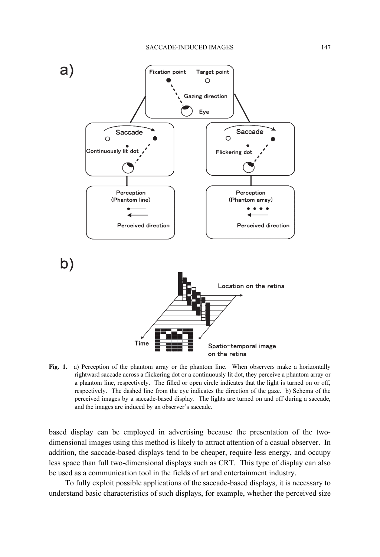

Fig. 1. a) Perception of the phantom array or the phantom line. When observers make a horizontally rightward saccade across a flickering dot or a continuously lit dot, they perceive a phantom array or a phantom line, respectively. The filled or open circle indicates that the light is turned on or off, respectively. The dashed line from the eye indicates the direction of the gaze. b) Schema of the perceived images by a saccade-based display. The lights are turned on and off during a saccade, and the images are induced by an observer's saccade.

based display can be employed in advertising because the presentation of the twodimensional images using this method is likely to attract attention of a casual observer. In addition, the saccade-based displays tend to be cheaper, require less energy, and occupy less space than full two-dimensional displays such as CRT. This type of display can also be used as a communication tool in the fields of art and entertainment industry.

To fully exploit possible applications of the saccade-based displays, it is necessary to understand basic characteristics of such displays, for example, whether the perceived size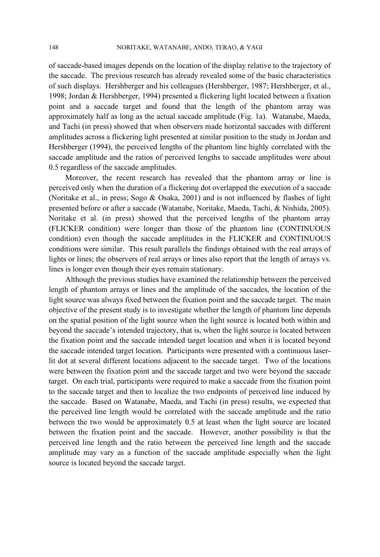of saccade-based images depends on the location of the display relative to the trajectory of the saccade. The previous research has already revealed some of the basic characteristics of such displays. Hershberger and his colleagues (Hershberger, 1987; Hershberger, et al., 1998; Jordan & Hershberger, 1994) presented a flickering light located between a fixation point and a saccade target and found that the length of the phantom array was approximately half as long as the actual saccade amplitude (Fig. 1a). Watanabe, Maeda, and Tachi (in press) showed that when observers made horizontal saccades with different amplitudes across a flickering light presented at similar position to the study in Jordan and Hershberger (1994), the perceived lengths of the phantom line highly correlated with the saccade amplitude and the ratios of perceived lengths to saccade amplitudes were about 0.5 regardless of the saccade amplitudes.

Moreover, the recent research has revealed that the phantom array or line is perceived only when the duration of a flickering dot overlapped the execution of a saccade (Noritake et al., in press; Sogo & Osaka, 2001) and is not influenced by flashes of light presented before or after a saccade (Watanabe, Noritake, Maeda, Tachi, & Nishida, 2005). Noritake et al. (in press) showed that the perceived lengths of the phantom array (FLICKER condition) were longer than those of the phantom line (CONTINUOUS condition) even though the saccade amplitudes in the FLICKER and CONTINUOUS conditions were similar. This result parallels the findings obtained with the real arrays of lights or lines; the observers of real arrays or lines also report that the length of arrays vs. lines is longer even though their eyes remain stationary.

Although the previous studies have examined the relationship between the perceived length of phantom arrays or lines and the amplitude of the saccades, the location of the light source was always fixed between the fixation point and the saccade target. The main objective of the present study is to investigate whether the length of phantom line depends on the spatial position of the light source when the light source is located both within and beyond the saccade's intended trajectory, that is, when the light source is located between the fixation point and the saccade intended target location and when it is located beyond the saccade intended target location. Participants were presented with a continuous laserlit dot at several different locations adjacent to the saccade target. Two of the locations were between the fixation point and the saccade target and two were beyond the saccade target. On each trial, participants were required to make a saccade from the fixation point to the saccade target and then to localize the two endpoints of perceived line induced by the saccade. Based on Watanabe, Maeda, and Tachi (in press) results, we expected that the perceived line length would be correlated with the saccade amplitude and the ratio between the two would be approximately 0.5 at least when the light source are located between the fixation point and the saccade. However, another possibility is that the perceived line length and the ratio between the perceived line length and the saccade amplitude may vary as a function of the saccade amplitude especially when the light source is located beyond the saccade target.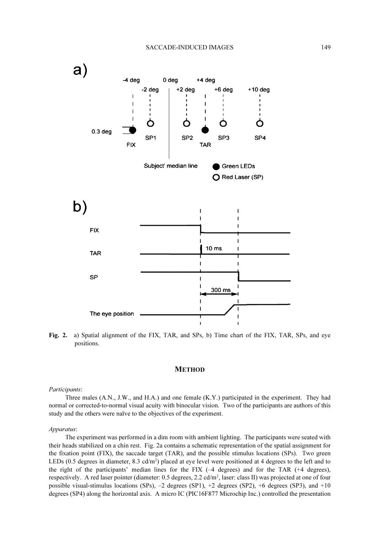### SACCADE-INDUCED IMAGES 149



Fig. 2. a) Spatial alignment of the FIX, TAR, and SPs, b) Time chart of the FIX, TAR, SPs, and eye positions.

#### **METHOD**

#### Participants:

Three males (A.N., J.W., and H.A.) and one female (K.Y.) participated in the experiment. They had normal or corrected-to-normal visual acuity with binocular vision. Two of the participants are authors of this study and the others were naïve to the objectives of the experiment.

# Apparatus:

The experiment was performed in a dim room with ambient lighting. The participants were seated with their heads stabilized on a chin rest. Fig. 2a contains a schematic representation of the spatial assignment for the fixation point (FIX), the saccade target (TAR), and the possible stimulus locations (SPs). Two green LEDs (0.5 degrees in diameter, 8.3  $\text{cd/m}^2$ ) placed at eye level were positioned at 4 degrees to the left and to the right of the participants' median lines for the FIX (–4 degrees) and for the TAR (+4 degrees), respectively. A red laser pointer (diameter: 0.5 degrees, 2.2 cd/m<sup>2</sup>, laser: class II) was projected at one of four possible visual-stimulus locations (SPs),  $-2$  degrees (SP1),  $+2$  degrees (SP2),  $+6$  degrees (SP3), and  $+10$ degrees (SP4) along the horizontal axis. A micro IC (PIC16F877 Microchip Inc.) controlled the presentation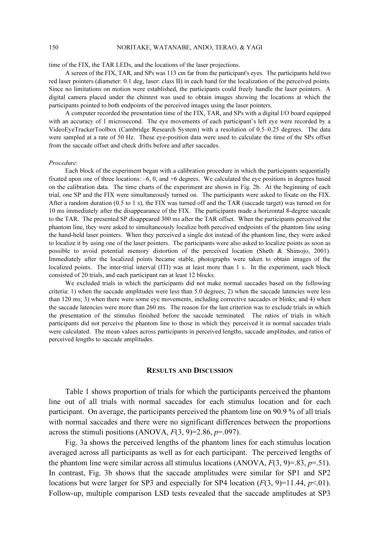### 150 NORITAKE, WATANABE, ANDO, TERAO, & YAGI

time of the FIX, the TAR LEDs, and the locations of the laser projections.

A screen of the FIX, TAR, and SPs was 113 cm far from the participant's eyes. The participants held two red laser pointers (diameter: 0.1 deg, laser: class II) in each hand for the localization of the perceived points. Since no limitations on motion were established, the participants could freely handle the laser pointers. A digital camera placed under the chinrest was used to obtain images showing the locations at which the participants pointed to both endpoints of the perceived images using the laser pointers.

A computer recorded the presentation time of the FIX, TAR, and SPs with a digital I/O board equipped with an accuracy of 1 microsecond. The eye movements of each participant's left eye were recorded by a VideoEyeTrackerToolbox (Cambridge Research System) with a resolution of 0.5–0.25 degrees. The data were sampled at a rate of 50 Hz. These eye-position data were used to calculate the time of the SPs offset from the saccade offset and check drifts before and after saccades.

#### Procedure:

Each block of the experiment began with a calibration procedure in which the participants sequentially fixated upon one of three locations: –6, 0, and +6 degrees. We calculated the eye positions in degrees based on the calibration data. The time charts of the experiment are shown in Fig. 2b. At the beginning of each trial, one SP and the FIX were simultaneously turned on. The participants were asked to fixate on the FIX. After a random duration (0.5 to 1 s), the FIX was turned off and the TAR (saccade target) was turned on for 10 ms immediately after the disappearance of the FIX. The participants made a horizontal 8-degree saccade to the TAR. The presented SP disappeared 300 ms after the TAR offset. When the participants perceived the phantom line, they were asked to simultaneously localize both perceived endpoints of the phantom line using the hand-held laser pointers. When they perceived a single dot instead of the phantom line, they were asked to localize it by using one of the laser pointers. The participants were also asked to localize points as soon as possible to avoid potential memory distortion of the perceived location (Sheth & Shimojo, 2001). Immediately after the localized points became stable, photographs were taken to obtain images of the localized points. The inter-trial interval (ITI) was at least more than 1 s. In the experiment, each block consisted of 20 trials, and each participant ran at least 12 blocks.

We excluded trials in which the participants did not make normal saccades based on the following criteria: 1) when the saccade amplitudes were less than 5.0 degrees; 2) when the saccade latencies were less than 120 ms; 3) when there were some eye movements, including corrective saccades or blinks; and 4) when the saccade latencies were more than 260 ms. The reason for the last criterion was to exclude trials in which the presentation of the stimulus finished before the saccade terminated. The ratios of trials in which participants did not perceive the phantom line to those in which they perceived it in normal saccades trials were calculated. The mean values across participants in perceived lengths, saccade amplitudes, and ratios of perceived lengths to saccade amplitudes.

## RESULTS AND DISCUSSION

Table 1 shows proportion of trials for which the participants perceived the phantom line out of all trials with normal saccades for each stimulus location and for each participant. On average, the participants perceived the phantom line on 90.9 % of all trials with normal saccades and there were no significant differences between the proportions across the stimuli positions (ANOVA,  $F(3, 9)=2.86$ ,  $p=.097$ ).

Fig. 3a shows the perceived lengths of the phantom lines for each stimulus location averaged across all participants as well as for each participant. The perceived lengths of the phantom line were similar across all stimulus locations (ANOVA,  $F(3, 9) = .83$ ,  $p = .51$ ). In contrast, Fig. 3b shows that the saccade amplitudes were similar for SP1 and SP2 locations but were larger for SP3 and especially for SP4 location  $(F(3, 9)=11.44, p<0.01)$ . Follow-up, multiple comparison LSD tests revealed that the saccade amplitudes at SP3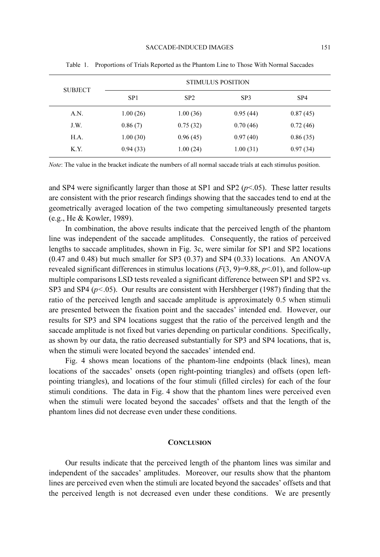| <b>SUBJECT</b> | <b>STIMULUS POSITION</b> |          |                 |          |
|----------------|--------------------------|----------|-----------------|----------|
|                | SP <sub>1</sub>          | SP2      | SP <sub>3</sub> | SP4      |
| A.N.           | 1.00(26)                 | 1.00(36) | 0.95(44)        | 0.87(45) |
| J.W.           | 0.86(7)                  | 0.75(32) | 0.70(46)        | 0.72(46) |
| H.A.           | 1.00(30)                 | 0.96(45) | 0.97(40)        | 0.86(35) |
| K.Y.           | 0.94(33)                 | 1.00(24) | 1.00(31)        | 0.97(34) |

Table 1. Proportions of Trials Reported as the Phantom Line to Those With Normal Saccades

Note: The value in the bracket indicate the numbers of all normal saccade trials at each stimulus position.

and SP4 were significantly larger than those at SP1 and SP2 ( $p$ <.05). These latter results are consistent with the prior research findings showing that the saccades tend to end at the geometrically averaged location of the two competing simultaneously presented targets (e.g., He & Kowler, 1989).

In combination, the above results indicate that the perceived length of the phantom line was independent of the saccade amplitudes. Consequently, the ratios of perceived lengths to saccade amplitudes, shown in Fig. 3c, were similar for SP1 and SP2 locations (0.47 and 0.48) but much smaller for SP3 (0.37) and SP4 (0.33) locations. An ANOVA revealed significant differences in stimulus locations  $(F(3, 9)=9.88, p<0.01)$ , and follow-up multiple comparisons LSD tests revealed a significant difference between SP1 and SP2 vs. SP3 and SP4 ( $p$ <.05). Our results are consistent with Hershberger (1987) finding that the ratio of the perceived length and saccade amplitude is approximately 0.5 when stimuli are presented between the fixation point and the saccades' intended end. However, our results for SP3 and SP4 locations suggest that the ratio of the perceived length and the saccade amplitude is not fixed but varies depending on particular conditions. Specifically, as shown by our data, the ratio decreased substantially for SP3 and SP4 locations, that is, when the stimuli were located beyond the saccades' intended end.

Fig. 4 shows mean locations of the phantom-line endpoints (black lines), mean locations of the saccades' onsets (open right-pointing triangles) and offsets (open leftpointing triangles), and locations of the four stimuli (filled circles) for each of the four stimuli conditions. The data in Fig. 4 show that the phantom lines were perceived even when the stimuli were located beyond the saccades' offsets and that the length of the phantom lines did not decrease even under these conditions.

### **CONCLUSION**

Our results indicate that the perceived length of the phantom lines was similar and independent of the saccades' amplitudes. Moreover, our results show that the phantom lines are perceived even when the stimuli are located beyond the saccades' offsets and that the perceived length is not decreased even under these conditions. We are presently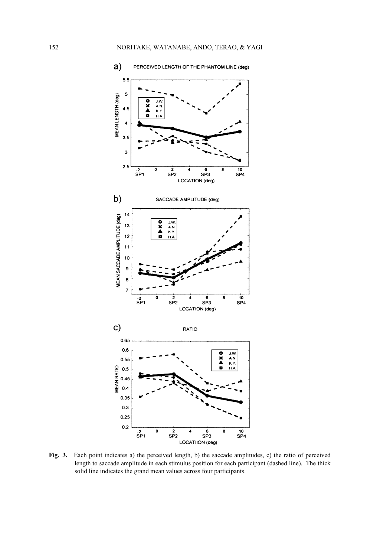

Fig. 3. Each point indicates a) the perceived length, b) the saccade amplitudes, c) the ratio of perceived length to saccade amplitude in each stimulus position for each participant (dashed line). The thick solid line indicates the grand mean values across four participants.